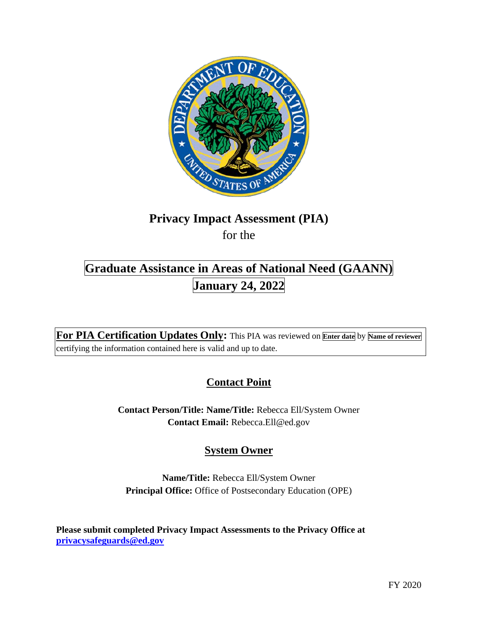

# **Privacy Impact Assessment (PIA)**

for the

# **Graduate Assistance in Areas of National Need (GAANN) January 24, 2022**

**For PIA Certification Updates Only:** This PIA was reviewed on **Enter date** by **Name of reviewer**  certifying the information contained here is valid and up to date.

## **Contact Point**

**Contact Person/Title: Name/Title:** Rebecca Ell/System Owner **Contact Email:** [Rebecca.Ell@ed.gov](mailto:Rebecca.Ell@ed.gov)

## **System Owner**

**Name/Title:** Rebecca Ell/System Owner **Principal Office:** Office of Postsecondary Education (OPE)

**Please submit completed Privacy Impact Assessments to the Privacy Office at [privacysafeguards@ed.gov](mailto:privacysafeguards@ed.gov)**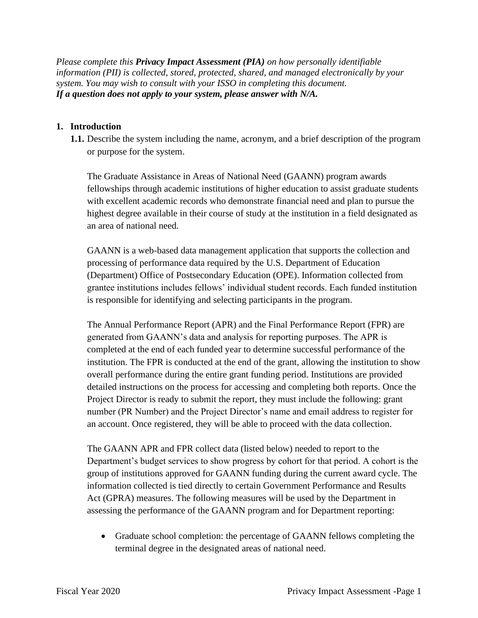*Please complete this Privacy Impact Assessment (PIA) on how personally identifiable information (PII) is collected, stored, protected, shared, and managed electronically by your system. You may wish to consult with your ISSO in completing this document. If a question does not apply to your system, please answer with N/A.* 

#### **1. Introduction**

**1.1.** Describe the system including the name, acronym, and a brief description of the program or purpose for the system.

The Graduate Assistance in Areas of National Need (GAANN) program awards fellowships through academic institutions of higher education to assist graduate students with excellent academic records who demonstrate financial need and plan to pursue the highest degree available in their course of study at the institution in a field designated as an area of national need.

GAANN is a web-based data management application that supports the collection and processing of performance data required by the U.S. Department of Education (Department) Office of Postsecondary Education (OPE). Information collected from grantee institutions includes fellows' individual student records. Each funded institution is responsible for identifying and selecting participants in the program.

The Annual Performance Report (APR) and the Final Performance Report (FPR) are generated from GAANN's data and analysis for reporting purposes. The APR is completed at the end of each funded year to determine successful performance of the institution. The FPR is conducted at the end of the grant, allowing the institution to show overall performance during the entire grant funding period. Institutions are provided detailed instructions on the process for accessing and completing both reports. Once the Project Director is ready to submit the report, they must include the following: grant number (PR Number) and the Project Director's name and email address to register for an account. Once registered, they will be able to proceed with the data collection.

The GAANN APR and FPR collect data (listed below) needed to report to the Department's budget services to show progress by cohort for that period. A cohort is the group of institutions approved for GAANN funding during the current award cycle. The information collected is tied directly to certain Government Performance and Results Act (GPRA) measures. The following measures will be used by the Department in assessing the performance of the GAANN program and for Department reporting:

• Graduate school completion: the percentage of GAANN fellows completing the terminal degree in the designated areas of national need.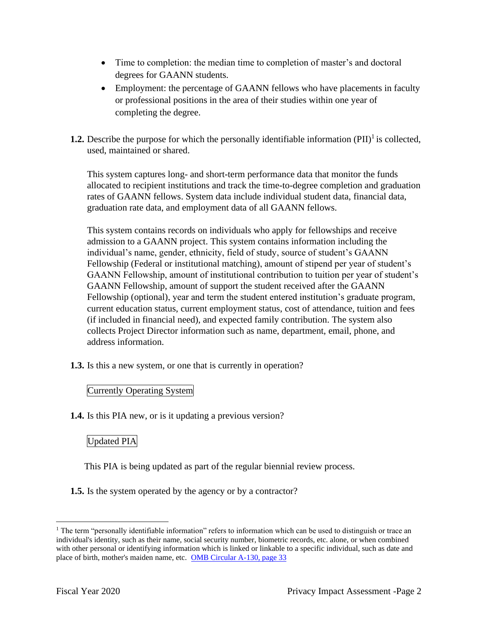- Time to completion: the median time to completion of master's and doctoral degrees for GAANN students.
- Employment: the percentage of GAANN fellows who have placements in faculty or professional positions in the area of their studies within one year of completing the degree.
- **1.2.** Describe the purpose for which the personally identifiable information  $(PII)^{1}$  is collected, used, maintained or shared.

This system captures long- and short-term performance data that monitor the funds allocated to recipient institutions and track the time-to-degree completion and graduation rates of GAANN fellows. System data include individual student data, financial data, graduation rate data, and employment data of all GAANN fellows.

This system contains records on individuals who apply for fellowships and receive admission to a GAANN project. This system contains information including the individual's name, gender, ethnicity, field of study, source of student's GAANN Fellowship (Federal or institutional matching), amount of stipend per year of student's GAANN Fellowship, amount of institutional contribution to tuition per year of student's GAANN Fellowship, amount of support the student received after the GAANN Fellowship (optional), year and term the student entered institution's graduate program, current education status, current employment status, cost of attendance, tuition and fees (if included in financial need), and expected family contribution. The system also collects Project Director information such as name, department, email, phone, and address information.

**1.3.** Is this a new system, or one that is currently in operation?

#### Currently Operating System

**1.4.** Is this PIA new, or is it updating a previous version?

### Updated PIA

This PIA is being updated as part of the regular biennial review process.

**1.5.** Is the system operated by the agency or by a contractor?

 $1$  The term "personally identifiable information" refers to information which can be used to distinguish or trace an individual's identity, such as their name, social security number, biometric records, etc. alone, or when combined with other personal or identifying information which is linked or linkable to a specific individual, such as date and place of birth, mother's maiden name, etc. OMB Circular A-130, page 33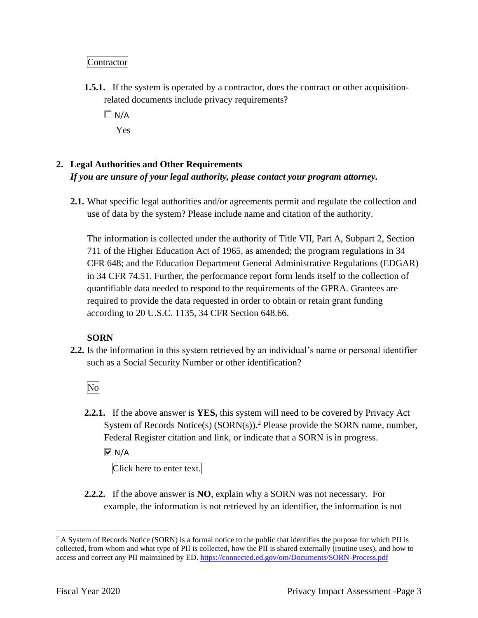#### Contractor

- **1.5.1.** If the system is operated by a contractor, does the contract or other acquisitionrelated documents include privacy requirements?
	- $\Box$  N/A Yes

### **2. Legal Authorities and Other Requirements**  *If you are unsure of your legal authority, please contact your program attorney.*

**2.1.** What specific legal authorities and/or agreements permit and regulate the collection and use of data by the system? Please include name and citation of the authority.

The information is collected under the authority of Title VII, Part A, Subpart 2, Section 711 of the Higher Education Act of 1965, as amended; the program regulations in 34 CFR 648; and the Education Department General Administrative Regulations (EDGAR) in 34 CFR 74.51. Further, the performance report form lends itself to the collection of quantifiable data needed to respond to the requirements of the GPRA. Grantees are required to provide the data requested in order to obtain or retain grant funding according to 20 U.S.C. 1135, 34 CFR Section 648.66.

#### **SORN**

**2.2.** Is the information in this system retrieved by an individual's name or personal identifier such as a Social Security Number or other identification?

No

**2.2.1.** If the above answer is **YES,** this system will need to be covered by Privacy Act System of Records Notice(s)  $(SORN(s))$ .<sup>2</sup> Please provide the SORN name, number, Federal Register citation and link, or indicate that a SORN is in progress.

 $\overline{M}$  N/A

Click here to enter text.

**2.2.2.** If the above answer is **NO**, explain why a SORN was not necessary. For example, the information is not retrieved by an identifier, the information is not

 $2$  A System of Records Notice (SORN) is a formal notice to the public that identifies the purpose for which PII is collected, from whom and what type of PII is collected, how the PII is shared externally (routine uses), and how to access and correct any PII maintained by ED. https://connected.ed.gov/om/Documents/SORN-Process.pdf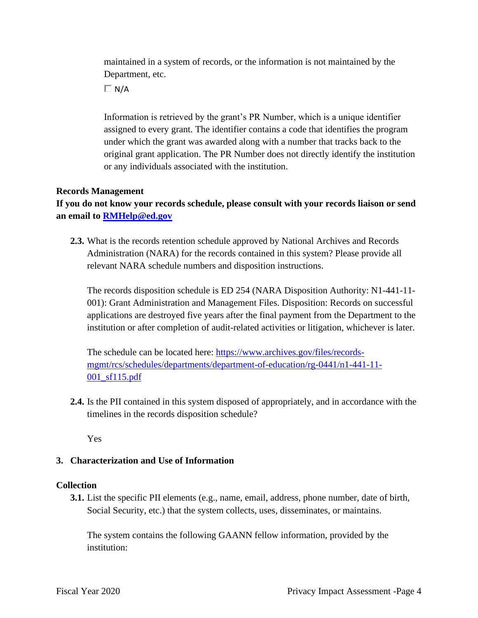Department, etc. maintained in a system of records, or the information is not maintained by the

 $\Box$  N/A

Information is retrieved by the grant's PR Number, which is a unique identifier assigned to every grant. The identifier contains a code that identifies the program under which the grant was awarded along with a number that tracks back to the original grant application. The PR Number does not directly identify the institution or any individuals associated with the institution.

#### **Records Management**

**If you do not know your records schedule, please consult with your records liaison or send an email to [RMHelp@ed.gov](mailto:RMHelp@ed.gov)** 

**2.3.** What is the records retention schedule approved by National Archives and Records Administration (NARA) for the records contained in this system? Please provide all relevant NARA schedule numbers and disposition instructions.

The records disposition schedule is ED 254 (NARA Disposition Authority: N1-441-11- 001): Grant Administration and Management Files. Disposition: Records on successful applications are destroyed five years after the final payment from the Department to the institution or after completion of audit-related activities or litigation, whichever is later.

The schedule can be located here: <https://www.archives.gov/files/records>mgmt/rcs/schedules/departments/department-of-education/rg-0441/n1-441-11- 001\_sf115.pdf

**2.4.** Is the PII contained in this system disposed of appropriately, and in accordance with the timelines in the records disposition schedule?

Yes

#### **3. Characterization and Use of Information**

#### **Collection**

**3.1.** List the specific PII elements (e.g., name, email, address, phone number, date of birth, Social Security, etc.) that the system collects, uses, disseminates, or maintains.

The system contains the following GAANN fellow information, provided by the institution: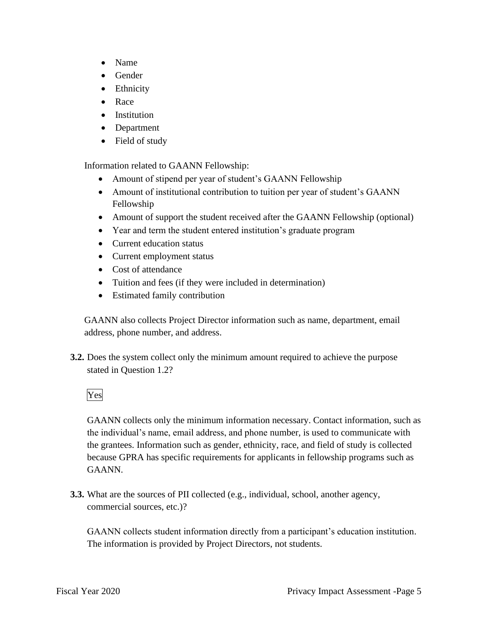- Name
- Gender
- Ethnicity
- Race
- Institution
- Department
- Field of study

Information related to GAANN Fellowship:

- Amount of stipend per year of student's GAANN Fellowship
- Amount of institutional contribution to tuition per year of student's GAANN Fellowship
- Amount of support the student received after the GAANN Fellowship (optional)
- Year and term the student entered institution's graduate program
- Current education status
- Current employment status
- Cost of attendance
- Tuition and fees (if they were included in determination)
- Estimated family contribution

GAANN also collects Project Director information such as name, department, email address, phone number, and address.

**3.2.** Does the system collect only the minimum amount required to achieve the purpose stated in Question 1.2?

#### Yes

GAANN collects only the minimum information necessary. Contact information, such as the individual's name, email address, and phone number, is used to communicate with the grantees. Information such as gender, ethnicity, race, and field of study is collected because GPRA has specific requirements for applicants in fellowship programs such as GAANN.

**3.3.** What are the sources of PII collected (e.g., individual, school, another agency, commercial sources, etc.)?

GAANN collects student information directly from a participant's education institution. The information is provided by Project Directors, not students.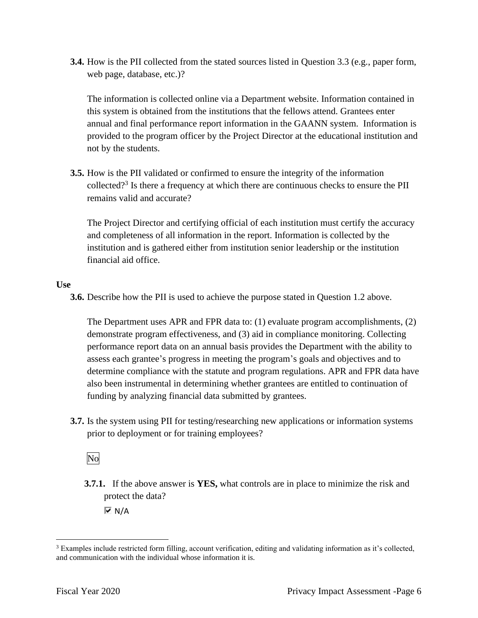**3.4.** How is the PII collected from the stated sources listed in Question 3.3 (e.g., paper form, web page, database, etc.)?

The information is collected online via a Department website. Information contained in this system is obtained from the institutions that the fellows attend. Grantees enter annual and final performance report information in the GAANN system. Information is provided to the program officer by the Project Director at the educational institution and not by the students.

collected?<sup>3</sup> Is there a frequency at which there are continuous checks to ensure the PII **3.5.** How is the PII validated or confirmed to ensure the integrity of the information remains valid and accurate?

The Project Director and certifying official of each institution must certify the accuracy and completeness of all information in the report. Information is collected by the institution and is gathered either from institution senior leadership or the institution financial aid office.

#### **Use**

**3.6.** Describe how the PII is used to achieve the purpose stated in Question 1.2 above.

 performance report data on an annual basis provides the Department with the ability to The Department uses APR and FPR data to: (1) evaluate program accomplishments, (2) demonstrate program effectiveness, and (3) aid in compliance monitoring. Collecting assess each grantee's progress in meeting the program's goals and objectives and to determine compliance with the statute and program regulations. APR and FPR data have also been instrumental in determining whether grantees are entitled to continuation of funding by analyzing financial data submitted by grantees.

**3.7.** Is the system using PII for testing/researching new applications or information systems prior to deployment or for training employees?

No

**3.7.1.** If the above answer is **YES,** what controls are in place to minimize the risk and protect the data?

 $\overline{\triangledown}$  N/A

 $3$  Examples include restricted form filling, account verification, editing and validating information as it's collected, and communication with the individual whose information it is.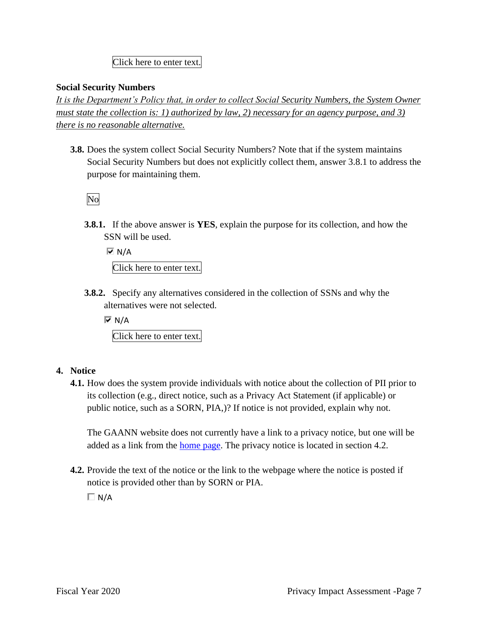#### Click here to enter text.

#### **Social Security Numbers**

*It is the Department's Policy that, in order to collect Social Security Numbers, the System Owner must state the collection is: 1) authorized by law, 2) necessary for an agency purpose, and 3) there is no reasonable alternative.* 

**3.8.** Does the system collect Social Security Numbers? Note that if the system maintains Social Security Numbers but does not explicitly collect them, answer 3.8.1 to address the purpose for maintaining them.

No

**3.8.1.** If the above answer is **YES**, explain the purpose for its collection, and how the SSN will be used.

 $\overline{M}$  N/A

Click here to enter text.

**3.8.2.** Specify any alternatives considered in the collection of SSNs and why the alternatives were not selected.

 $\overline{M}$  N/A Click here to enter text.

#### **4. Notice**

**4.1.** How does the system provide individuals with notice about the collection of PII prior to its collection (e.g., direct notice, such as a Privacy Act Statement (if applicable) or public notice, such as a SORN, PIA,)? If notice is not provided, explain why not.

The GAANN website does not currently have a link to a privacy notice, but one will be added as a link from the home page. The privacy notice is located in section 4.2.

**4.2.** Provide the text of the notice or the link to the webpage where the notice is posted if notice is provided other than by SORN or PIA.

 $\Box N/A$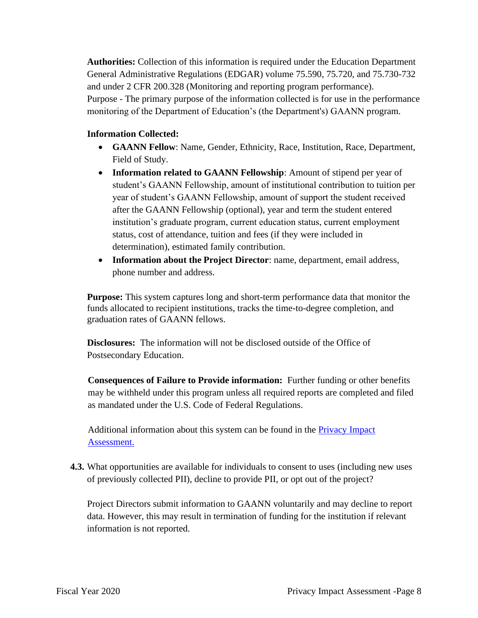**Authorities:** Collection of this information is required under the Education Department General Administrative Regulations (EDGAR) volume 75.590, 75.720, and 75.730-732 and under 2 CFR 200.328 (Monitoring and reporting program performance). Purpose - The primary purpose of the information collected is for use in the performance monitoring of the Department of Education's (the Department's) GAANN program.

#### **Information Collected:**

- **GAANN Fellow**: Name, Gender, Ethnicity, Race, Institution, Race, Department, Field of Study.
- **Information related to GAANN Fellowship**: Amount of stipend per year of student's GAANN Fellowship, amount of institutional contribution to tuition per year of student's GAANN Fellowship, amount of support the student received after the GAANN Fellowship (optional), year and term the student entered institution's graduate program, current education status, current employment status, cost of attendance, tuition and fees (if they were included in determination), estimated family contribution.
- **Information about the Project Director**: name, department, email address, phone number and address.

**Purpose:** This system captures long and short-term performance data that monitor the funds allocated to recipient institutions, tracks the time-to-degree completion, and graduation rates of GAANN fellows.

**Disclosures:** The information will not be disclosed outside of the Office of Postsecondary Education.

**Consequences of Failure to Provide information:** Further funding or other benefits may be withheld under this program unless all required reports are completed and filed as mandated under the U.S. Code of Federal Regulations.

Additional information about this system can be found in the Privacy Impact Assessment.

**4.3.** What opportunities are available for individuals to consent to uses (including new uses of previously collected PII), decline to provide PII, or opt out of the project?

Project Directors submit information to GAANN voluntarily and may decline to report data. However, this may result in termination of funding for the institution if relevant information is not reported.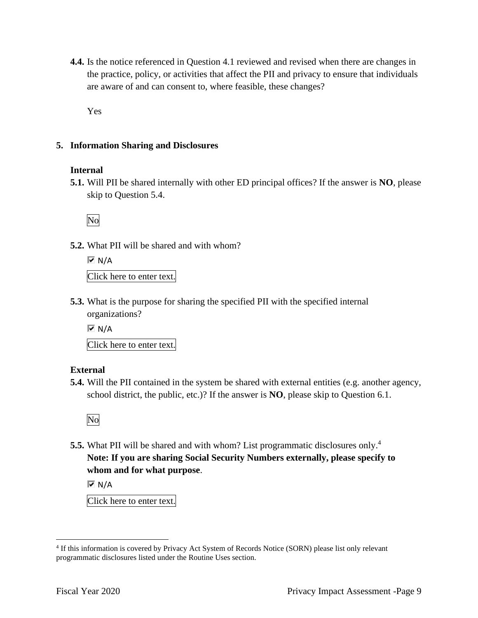**4.4.** Is the notice referenced in Question 4.1 reviewed and revised when there are changes in the practice, policy, or activities that affect the PII and privacy to ensure that individuals are aware of and can consent to, where feasible, these changes?

Yes

#### **5. Information Sharing and Disclosures**

#### **Internal**

**5.1.** Will PII be shared internally with other ED principal offices? If the answer is **NO**, please skip to Question 5.4.

No

**5.2.** What PII will be shared and with whom?

 $\overline{M}$  N/A

Click here to enter text.

**5.3.** What is the purpose for sharing the specified PII with the specified internal organizations?

 $\overline{M}$  N/A

Click here to enter text.

#### **External**

**5.4.** Will the PII contained in the system be shared with external entities (e.g. another agency, school district, the public, etc.)? If the answer is **NO**, please skip to Question 6.1.



**5.5.** What PII will be shared and with whom? List programmatic disclosures only.<sup>4</sup> **Note: If you are sharing Social Security Numbers externally, please specify to whom and for what purpose**.

 $\overline{M}$  N/A

Click here to enter text.

 4 If this information is covered by Privacy Act System of Records Notice (SORN) please list only relevant programmatic disclosures listed under the Routine Uses section.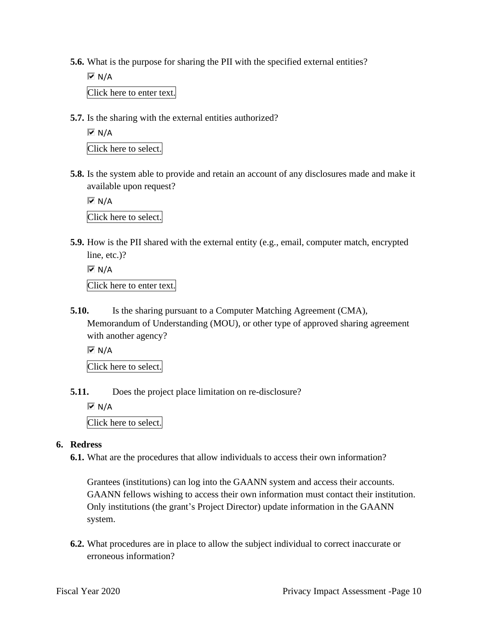**5.6.** What is the purpose for sharing the PII with the specified external entities?

 $\overline{M}$  N/A Click here to enter text.

**5.7.** Is the sharing with the external entities authorized?

 $\overline{M}$  N/A Click here to select.

**5.8.** Is the system able to provide and retain an account of any disclosures made and make it available upon request?

 $\overline{M}$  N/A

Click here to select.

**5.9.** How is the PII shared with the external entity (e.g., email, computer match, encrypted line, etc.)?

```
\overline{M} N/A
Click here to enter text.
```
**5.10.** Is the sharing pursuant to a Computer Matching Agreement (CMA), Memorandum of Understanding (MOU), or other type of approved sharing agreement with another agency?

 $\overline{M}$  N/A

Click here to select.

**5.11.** Does the project place limitation on re-disclosure?

 $\overline{M}$  N/A

Click here to select.

#### **6. Redress**

**6.1.** What are the procedures that allow individuals to access their own information?

Grantees (institutions) can log into the GAANN system and access their accounts. GAANN fellows wishing to access their own information must contact their institution. Only institutions (the grant's Project Director) update information in the GAANN system.

**6.2.** What procedures are in place to allow the subject individual to correct inaccurate or erroneous information?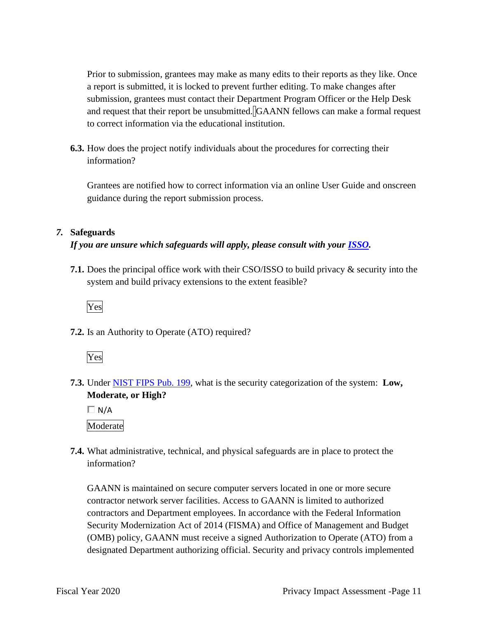Prior to submission, grantees may make as many edits to their reports as they like. Once a report is submitted, it is locked to prevent further editing. To make changes after submission, grantees must contact their Department Program Officer or the Help Desk and request that their report be unsubmitted. GAANN fellows can make a formal request to correct information via the educational institution.

**6.3.** How does the project notify individuals about the procedures for correcting their information?

Grantees are notified how to correct information via an online User Guide and onscreen guidance during the report submission process.

#### *7.* **Safeguards**

#### *If you are unsure which safeguards will apply, please consult with your ISSO.*

**7.1.** Does the principal office work with their CSO/ISSO to build privacy & security into the system and build privacy extensions to the extent feasible?

Yes

**7.2.** Is an Authority to Operate (ATO) required?



 **7.3.** Under NIST FIPS Pub. 199, what is the security categorization of the system: **Low, Moderate, or High?** 

 $\Box$  N/A Moderate

**7.4.** What administrative, technical, and physical safeguards are in place to protect the information?

GAANN is maintained on secure computer servers located in one or more secure contractor network server facilities. Access to GAANN is limited to authorized contractors and Department employees. In accordance with the Federal Information Security Modernization Act of 2014 (FISMA) and Office of Management and Budget (OMB) policy, GAANN must receive a signed Authorization to Operate (ATO) from a designated Department authorizing official. Security and privacy controls implemented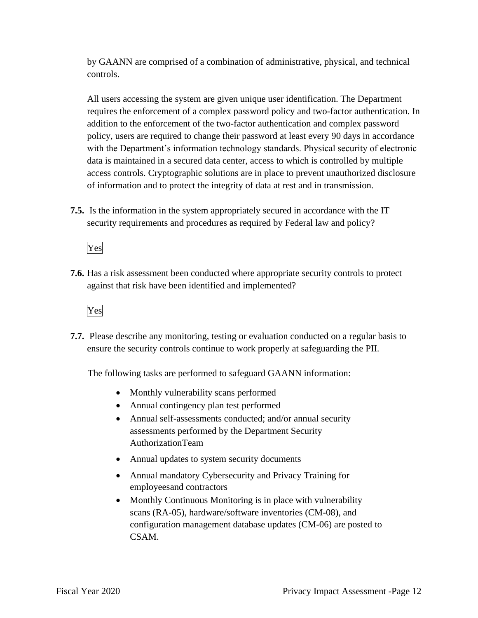by GAANN are comprised of a combination of administrative, physical, and technical controls.

All users accessing the system are given unique user identification. The Department requires the enforcement of a complex password policy and two-factor authentication. In addition to the enforcement of the two-factor authentication and complex password policy, users are required to change their password at least every 90 days in accordance with the Department's information technology standards. Physical security of electronic data is maintained in a secured data center, access to which is controlled by multiple access controls. Cryptographic solutions are in place to prevent unauthorized disclosure of information and to protect the integrity of data at rest and in transmission.

**7.5.** Is the information in the system appropriately secured in accordance with the IT security requirements and procedures as required by Federal law and policy?

Yes

**7.6.** Has a risk assessment been conducted where appropriate security controls to protect against that risk have been identified and implemented?

Yes

**7.7.** Please describe any monitoring, testing or evaluation conducted on a regular basis to ensure the security controls continue to work properly at safeguarding the PII.

The following tasks are performed to safeguard GAANN information:

- Monthly vulnerability scans performed
- Annual contingency plan test performed
- Annual self-assessments conducted; and/or annual security assessments performed by the Department Security AuthorizationTeam
- Annual updates to system security documents
- Annual mandatory Cybersecurity and Privacy Training for employeesand contractors
- Monthly Continuous Monitoring is in place with vulnerability scans (RA-05), hardware/software inventories (CM-08), and configuration management database updates (CM-06) are posted to CSAM.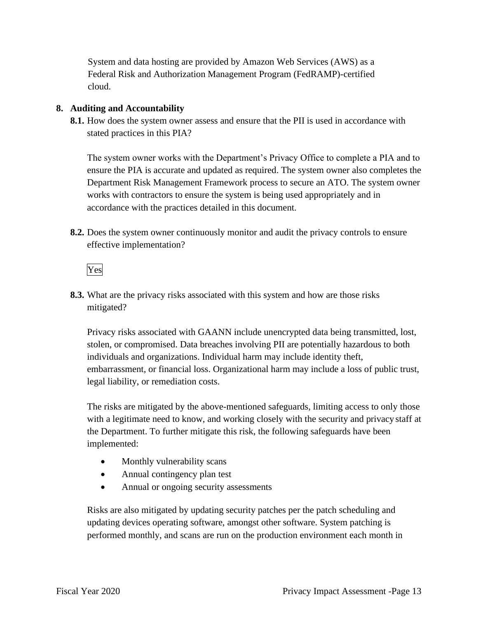System and data hosting are provided by Amazon Web Services (AWS) as a Federal Risk and Authorization Management Program (FedRAMP)-certified cloud.

#### **8. Auditing and Accountability**

**8.1.** How does the system owner assess and ensure that the PII is used in accordance with stated practices in this PIA?

The system owner works with the Department's Privacy Office to complete a PIA and to ensure the PIA is accurate and updated as required. The system owner also completes the Department Risk Management Framework process to secure an ATO. The system owner works with contractors to ensure the system is being used appropriately and in accordance with the practices detailed in this document.

**8.2.** Does the system owner continuously monitor and audit the privacy controls to ensure effective implementation?

Yes

**8.3.** What are the privacy risks associated with this system and how are those risks mitigated?

Privacy risks associated with GAANN include unencrypted data being transmitted, lost, stolen, or compromised. Data breaches involving PII are potentially hazardous to both individuals and organizations. Individual harm may include identity theft, embarrassment, or financial loss. Organizational harm may include a loss of public trust, legal liability, or remediation costs.

 with a legitimate need to know, and working closely with the security and privacy staff at The risks are mitigated by the above-mentioned safeguards, limiting access to only those the Department. To further mitigate this risk, the following safeguards have been implemented:

- Monthly vulnerability scans
- Annual contingency plan test
- Annual or ongoing security assessments

Risks are also mitigated by updating security patches per the patch scheduling and updating devices operating software, amongst other software. System patching is performed monthly, and scans are run on the production environment each month in